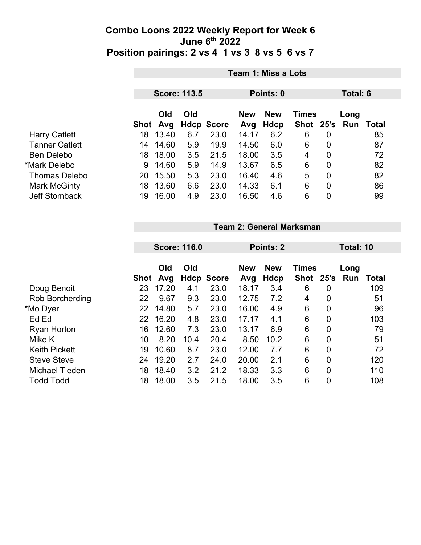|                       | Team 1: Miss a Lots              |            |     |                   |                   |                    |                             |                |             |       |
|-----------------------|----------------------------------|------------|-----|-------------------|-------------------|--------------------|-----------------------------|----------------|-------------|-------|
|                       | <b>Score: 113.5</b><br>Points: 0 |            |     |                   |                   |                    |                             | Total: 6       |             |       |
|                       | Shot                             | Old<br>Avg | Old | <b>Hdcp Score</b> | <b>New</b><br>Avg | <b>New</b><br>Hdcp | <b>Times</b><br><b>Shot</b> | 25's           | Long<br>Run | Total |
| <b>Harry Catlett</b>  | 18                               | 13.40      | 6.7 | 23.0              | 14.17             | 6.2                | 6                           | 0              |             | 85    |
| <b>Tanner Catlett</b> | 14                               | 14.60      | 5.9 | 19.9              | 14.50             | 6.0                | 6                           | 0              |             | 87    |
| <b>Ben Delebo</b>     | 18                               | 18.00      | 3.5 | 21.5              | 18.00             | 3.5                | 4                           | $\overline{0}$ |             | 72    |
| *Mark Delebo          | 9                                | 14.60      | 5.9 | 14.9              | 13.67             | 6.5                | 6                           | $\overline{0}$ |             | 82    |
| <b>Thomas Delebo</b>  | 20                               | 15.50      | 5.3 | 23.0              | 16.40             | 4.6                | 5                           | $\mathbf 0$    |             | 82    |
| <b>Mark McGinty</b>   | 18                               | 13.60      | 6.6 | 23.0              | 14.33             | 6.1                | 6                           | $\overline{0}$ |             | 86    |
| <b>Jeff Stomback</b>  | 19                               | 16.00      | 4.9 | 23.0              | 16.50             | 4.6                | 6                           | 0              |             | 99    |

|                        | <b>Score: 116.0</b> |            |      |                   | Points: 2         |                    | Total: 10                     |   |      |       |
|------------------------|---------------------|------------|------|-------------------|-------------------|--------------------|-------------------------------|---|------|-------|
|                        | Shot                | Old<br>Avg | Old  | <b>Hdcp Score</b> | <b>New</b><br>Avg | <b>New</b><br>Hdcp | <b>Times</b><br>Shot 25's Run |   | Long | Total |
| Doug Benoit            | 23                  | 17.20      | 4.1  | 23.0              | 18.17             | 3.4                | 6                             | 0 |      | 109   |
| <b>Rob Borcherding</b> | 22                  | 9.67       | 9.3  | 23.0              | 12.75             | 7.2                | 4                             | 0 |      | 51    |
| *Mo Dyer               | 22                  | 14.80      | 5.7  | 23.0              | 16.00             | 4.9                | 6                             | 0 |      | 96    |
| Ed Ed                  | 22.                 | 16.20      | 4.8  | 23.0              | 17.17             | 4.1                | 6                             | 0 |      | 103   |
| <b>Ryan Horton</b>     | 16                  | 12.60      | 7.3  | 23.0              | 13.17             | 6.9                | 6                             | 0 |      | 79    |
| Mike K                 | 10                  | 8.20       | 10.4 | 20.4              | 8.50              | 10.2               | 6                             | 0 |      | 51    |
| <b>Keith Pickett</b>   | 19                  | 10.60      | 8.7  | 23.0              | 12.00             | 7.7                | 6                             | 0 |      | 72    |
| <b>Steve Steve</b>     | 24                  | 19.20      | 2.7  | 24.0              | 20.00             | 2.1                | 6                             | 0 |      | 120   |
| <b>Michael Tieden</b>  | 18                  | 18.40      | 3.2  | 21.2              | 18.33             | 3.3                | 6                             | 0 |      | 110   |
| <b>Todd Todd</b>       | 18                  | 18.00      | 3.5  | 21.5              | 18.00             | 3.5                | 6                             | 0 |      | 108   |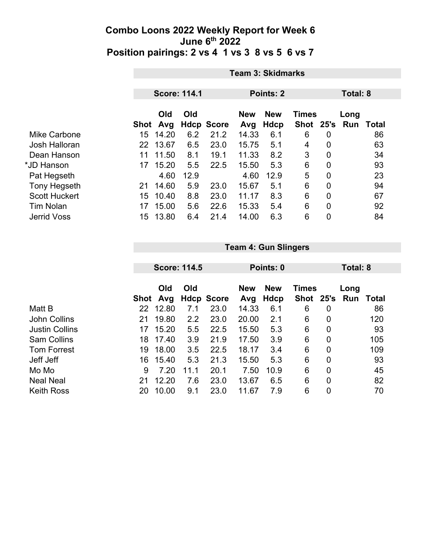|                      | <b>Team 3: Skidmarks</b> |                     |      |                   |                                          |             |             |             |          |       |  |
|----------------------|--------------------------|---------------------|------|-------------------|------------------------------------------|-------------|-------------|-------------|----------|-------|--|
|                      |                          |                     |      |                   |                                          |             |             |             |          |       |  |
|                      |                          | <b>Score: 114.1</b> |      |                   | <b>Points: 2</b>                         |             |             |             | Total: 8 |       |  |
|                      |                          | Old<br>Old          |      |                   | <b>New</b><br><b>Times</b><br><b>New</b> |             |             |             | Long     |       |  |
|                      | <b>Shot</b>              | Avg                 |      | <b>Hdcp Score</b> | Avg                                      | <b>Hdcp</b> | <b>Shot</b> | 25's        | Run      | Total |  |
| Mike Carbone         | 15 <sub>1</sub>          | 14.20               | 6.2  | 21.2              | 14.33                                    | 6.1         | 6           | 0           |          | 86    |  |
| Josh Halloran        | 22                       | 13.67               | 6.5  | 23.0              | 15.75                                    | 5.1         | 4           | 0           |          | 63    |  |
| Dean Hanson          | 11                       | 11.50               | 8.1  | 19.1              | 11.33                                    | 8.2         | 3           | 0           |          | 34    |  |
| *JD Hanson           | 17                       | 15.20               | 5.5  | 22.5              | 15.50                                    | 5.3         | 6           | $\mathbf 0$ |          | 93    |  |
| Pat Hegseth          |                          | 4.60                | 12.9 |                   | 4.60                                     | 12.9        | 5           | $\mathbf 0$ |          | 23    |  |
| <b>Tony Hegseth</b>  | 21                       | 14.60               | 5.9  | 23.0              | 15.67                                    | 5.1         | 6           | 0           |          | 94    |  |
| <b>Scott Huckert</b> | 15                       | 10.40               | 8.8  | 23.0              | 11.17                                    | 8.3         | 6           | 0           |          | 67    |  |
| <b>Tim Nolan</b>     | 17                       | 15.00               | 5.6  | 22.6              | 15.33                                    | 5.4         | 6           | 0           |          | 92    |  |
| <b>Jerrid Voss</b>   | 15                       | 13.80               | 6.4  | 21.4              | 14.00                                    | 6.3         | 6           | 0           |          | 84    |  |

|                       |      | <b>Score: 114.5</b> |      |                   |                   | Points: 0          |                      |      | Total: 8    |       |
|-----------------------|------|---------------------|------|-------------------|-------------------|--------------------|----------------------|------|-------------|-------|
|                       | Shot | Old<br>Avg          | Old  | <b>Hdcp Score</b> | <b>New</b><br>Avg | <b>New</b><br>Hdcp | <b>Times</b><br>Shot | 25's | Long<br>Run | Total |
| Matt B                | 22   | 12.80               | 7.1  | 23.0              | 14.33             | 6.1                | 6                    | 0    |             | 86    |
| <b>John Collins</b>   | 21   | 19.80               | 2.2  | 23.0              | 20.00             | 2.1                | 6                    | 0    |             | 120   |
| <b>Justin Collins</b> | 17   | 15.20               | 5.5  | 22.5              | 15.50             | 5.3                | 6                    | 0    |             | 93    |
| <b>Sam Collins</b>    | 18   | 17.40               | 3.9  | 21.9              | 17.50             | 3.9                | 6                    | 0    |             | 105   |
| <b>Tom Forrest</b>    | 19   | 18.00               | 3.5  | 22.5              | 18.17             | 3.4                | 6                    | 0    |             | 109   |
| Jeff Jeff             | 16   | 15.40               | 5.3  | 21.3              | 15.50             | 5.3                | 6                    | 0    |             | 93    |
| Mo Mo                 | 9    | 7.20                | 11.1 | 20.1              | 7.50              | 10.9               | 6                    | 0    |             | 45    |
| <b>Neal Neal</b>      | 21   | 12.20               | 7.6  | 23.0              | 13.67             | 6.5                | 6                    | 0    |             | 82    |
| <b>Keith Ross</b>     | 20   | 10.00               | 9.1  | 23.0              | 11.67             | 7.9                | 6                    | 0    |             | 70    |

**Team 4: Gun Slingers**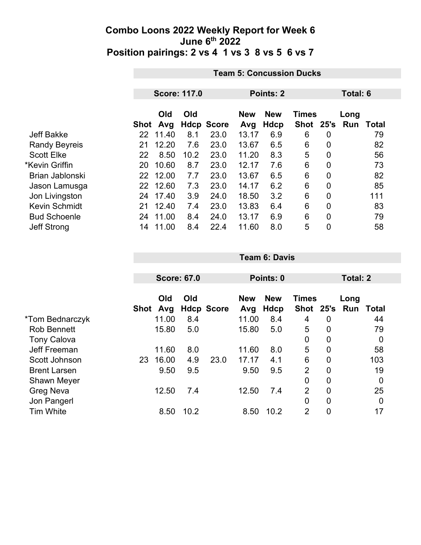|                      |      | <b>Team 5: Concussion Ducks</b> |             |              |                   |                    |                             |                |             |              |  |
|----------------------|------|---------------------------------|-------------|--------------|-------------------|--------------------|-----------------------------|----------------|-------------|--------------|--|
|                      |      |                                 |             |              |                   |                    |                             |                |             |              |  |
|                      |      | <b>Score: 117.0</b>             |             |              |                   | Points: 2          |                             | Total: 6       |             |              |  |
|                      | Shot | Old<br>Avg                      | Old<br>Hdcp | <b>Score</b> | <b>New</b><br>Avg | <b>New</b><br>Hdcp | <b>Times</b><br><b>Shot</b> | 25's           | Long<br>Run | <b>Total</b> |  |
| <b>Jeff Bakke</b>    | 22   | 11.40                           | 8.1         | 23.0         | 13.17             | 6.9                | 6                           | 0              |             | 79           |  |
| <b>Randy Beyreis</b> | 21   | 12.20                           | 7.6         | 23.0         | 13.67             | 6.5                | 6                           | $\mathbf 0$    |             | 82           |  |
| <b>Scott Elke</b>    | 22   | 8.50                            | 10.2        | 23.0         | 11.20             | 8.3                | 5                           | $\overline{0}$ |             | 56           |  |
| *Kevin Griffin       | 20   | 10.60                           | 8.7         | 23.0         | 12.17             | 7.6                | 6                           | $\mathbf 0$    |             | 73           |  |
| Brian Jablonski      | 22   | 12.00                           | 7.7         | 23.0         | 13.67             | 6.5                | 6                           | $\overline{0}$ |             | 82           |  |
| Jason Lamusga        | 22   | 12.60                           | 7.3         | 23.0         | 14.17             | 6.2                | 6                           | $\overline{0}$ |             | 85           |  |
| Jon Livingston       | 24   | 17.40                           | 3.9         | 24.0         | 18.50             | 3.2                | 6                           | $\overline{0}$ |             | 111          |  |
| <b>Kevin Schmidt</b> | 21   | 12.40                           | 7.4         | 23.0         | 13.83             | 6.4                | 6                           | $\overline{0}$ |             | 83           |  |
| <b>Bud Schoenle</b>  | 24   | 11.00                           | 8.4         | 24.0         | 13.17             | 6.9                | 6                           | $\overline{0}$ |             | 79           |  |
| <b>Jeff Strong</b>   | 14   | 11.00                           | 8.4         | 22.4         | 11.60             | 8.0                | 5                           | $\overline{0}$ |             | 58           |  |

|                     |             | <b>Score: 67.0</b> |      |                   | Points: 0         |                    |                             |                | <b>Total: 2</b> |                  |  |
|---------------------|-------------|--------------------|------|-------------------|-------------------|--------------------|-----------------------------|----------------|-----------------|------------------|--|
|                     | <b>Shot</b> | Old<br>Avg         | Old  | <b>Hdcp Score</b> | <b>New</b><br>Avg | <b>New</b><br>Hdcp | <b>Times</b><br><b>Shot</b> | 25's           | Long<br>Run     | Total            |  |
| *Tom Bednarczyk     |             | 11.00              | 8.4  |                   | 11.00             | 8.4                | 4                           | 0              |                 | 44               |  |
| <b>Rob Bennett</b>  |             | 15.80              | 5.0  |                   | 15.80             | 5.0                | 5                           | 0              |                 | 79               |  |
| <b>Tony Calova</b>  |             |                    |      |                   |                   |                    | 0                           | $\overline{0}$ |                 | 0                |  |
| Jeff Freeman        |             | 11.60              | 8.0  |                   | 11.60             | 8.0                | 5                           | 0              |                 | 58               |  |
| Scott Johnson       | 23          | 16.00              | 4.9  | 23.0              | 17.17             | 4.1                | 6                           | $\mathbf 0$    |                 | 103              |  |
| <b>Brent Larsen</b> |             | 9.50               | 9.5  |                   | 9.50              | 9.5                | $\overline{2}$              | 0              |                 | 19               |  |
| <b>Shawn Meyer</b>  |             |                    |      |                   |                   |                    | $\mathbf 0$                 | $\mathbf 0$    |                 | $\boldsymbol{0}$ |  |
| <b>Greg Neva</b>    |             | 12.50              | 7.4  |                   | 12.50             | 7.4                | $\overline{2}$              | $\overline{0}$ |                 | 25               |  |
| Jon Pangerl         |             |                    |      |                   |                   |                    | 0                           | $\mathbf 0$    |                 | 0                |  |
| <b>Tim White</b>    |             | 8.50               | 10.2 |                   | 8.50              | 10.2               | $\overline{2}$              | 0              |                 | 17               |  |

**Team 6: Davis**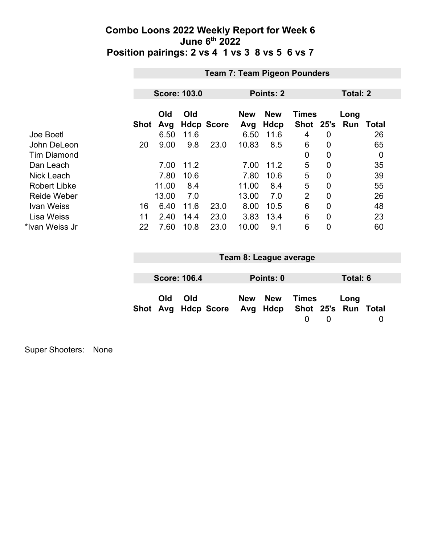| <b>Team 7: Team Pigeon Pounders</b> |            |      |                     |                   |                    |                |                |                           |                 |
|-------------------------------------|------------|------|---------------------|-------------------|--------------------|----------------|----------------|---------------------------|-----------------|
|                                     |            |      |                     |                   |                    |                |                |                           |                 |
|                                     |            |      |                     |                   |                    |                |                |                           |                 |
|                                     | Old<br>Avg | Old  |                     | <b>New</b><br>Avg | <b>New</b><br>Hdcp |                |                | Long<br>Run               | Total           |
|                                     | 6.50       | 11.6 |                     | 6.50              | 11.6               | 4              | 0              |                           | 26              |
| 20                                  | 9.00       | 9.8  | 23.0                | 10.83             | 8.5                | 6              | 0              |                           | 65              |
|                                     |            |      |                     |                   |                    | $\mathbf 0$    | 0              |                           | 0               |
|                                     | 7.00       | 11.2 |                     | 7.00              | 11.2               | 5              | 0              |                           | 35              |
|                                     | 7.80       | 10.6 |                     | 7.80              | 10.6               | 5              | 0              |                           | 39              |
|                                     | 11.00      | 8.4  |                     | 11.00             | 8.4                | 5              | $\overline{0}$ |                           | 55              |
|                                     | 13.00      | 7.0  |                     | 13.00             | 7.0                | $\overline{2}$ | $\overline{0}$ |                           | 26              |
| 16                                  | 6.40       | 11.6 | 23.0                | 8.00              | 10.5               | 6              | $\overline{0}$ |                           | 48              |
| 11                                  | 2.40       | 14.4 | 23.0                | 3.83              | 13.4               | 6              | $\overline{0}$ |                           | 23              |
| 22                                  | 7.60       | 10.8 | 23.0                | 10.00             | 9.1                | 6              | 0              |                           | 60              |
|                                     |            | Shot | <b>Score: 103.0</b> | <b>Hdcp Score</b> |                    | Points: 2      |                | <b>Times</b><br>Shot 25's | <b>Total: 2</b> |

| Team 8: League average |                     |                                                  |  |           |       |  |          |  |
|------------------------|---------------------|--------------------------------------------------|--|-----------|-------|--|----------|--|
|                        |                     |                                                  |  |           |       |  |          |  |
|                        | <b>Score: 106.4</b> |                                                  |  | Points: 0 |       |  | Total: 6 |  |
| Old                    | Old                 | Shot Avg Hdcp Score Avg Hdcp Shot 25's Run Total |  | New New   | Times |  | Long     |  |

Super Shooters: None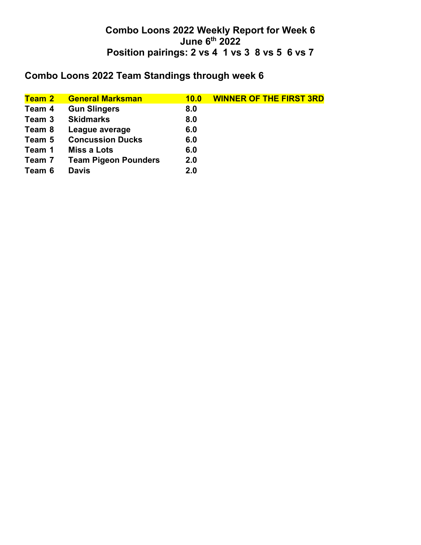## **Combo Loons 2022 Team Standings through week 6**

| <b>Team 2</b> | <b>General Marksman</b>     | 10.0 | <b>WINNER OF THE FIRST 3RD</b> |
|---------------|-----------------------------|------|--------------------------------|
| Team 4        | <b>Gun Slingers</b>         | 8.0  |                                |
| Team 3        | <b>Skidmarks</b>            | 8.0  |                                |
| Team 8        | League average              | 6.0  |                                |
| Team 5        | <b>Concussion Ducks</b>     | 6.0  |                                |
| Team 1        | <b>Miss a Lots</b>          | 6.0  |                                |
| Team 7        | <b>Team Pigeon Pounders</b> | 2.0  |                                |
| Team 6        | <b>Davis</b>                | 2.0  |                                |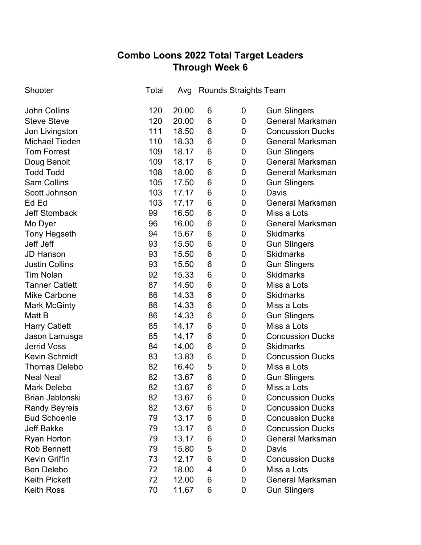# **Combo Loons 2022 Total Target Leaders Through Week 6**

| Shooter                | Total | Avg   | Rounds Straights Team |   |                         |
|------------------------|-------|-------|-----------------------|---|-------------------------|
| <b>John Collins</b>    | 120   | 20.00 | 6                     | 0 | <b>Gun Slingers</b>     |
| <b>Steve Steve</b>     | 120   | 20.00 | 6                     | 0 | <b>General Marksman</b> |
| Jon Livingston         | 111   | 18.50 | 6                     | 0 | <b>Concussion Ducks</b> |
| <b>Michael Tieden</b>  | 110   | 18.33 | 6                     | 0 | <b>General Marksman</b> |
| <b>Tom Forrest</b>     | 109   | 18.17 | 6                     | 0 | <b>Gun Slingers</b>     |
| Doug Benoit            | 109   | 18.17 | 6                     | 0 | <b>General Marksman</b> |
| <b>Todd Todd</b>       | 108   | 18.00 | 6                     | 0 | <b>General Marksman</b> |
| <b>Sam Collins</b>     | 105   | 17.50 | 6                     | 0 | <b>Gun Slingers</b>     |
| Scott Johnson          | 103   | 17.17 | 6                     | 0 | Davis                   |
| Ed Ed                  | 103   | 17.17 | 6                     | 0 | <b>General Marksman</b> |
| <b>Jeff Stomback</b>   | 99    | 16.50 | 6                     | 0 | Miss a Lots             |
| Mo Dyer                | 96    | 16.00 | 6                     | 0 | <b>General Marksman</b> |
| <b>Tony Hegseth</b>    | 94    | 15.67 | 6                     | 0 | <b>Skidmarks</b>        |
| Jeff Jeff              | 93    | 15.50 | 6                     | 0 | <b>Gun Slingers</b>     |
| <b>JD Hanson</b>       | 93    | 15.50 | 6                     | 0 | <b>Skidmarks</b>        |
| <b>Justin Collins</b>  | 93    | 15.50 | 6                     | 0 | <b>Gun Slingers</b>     |
| <b>Tim Nolan</b>       | 92    | 15.33 | 6                     | 0 | <b>Skidmarks</b>        |
| <b>Tanner Catlett</b>  | 87    | 14.50 | 6                     | 0 | Miss a Lots             |
| <b>Mike Carbone</b>    | 86    | 14.33 | 6                     | 0 | <b>Skidmarks</b>        |
| <b>Mark McGinty</b>    | 86    | 14.33 | 6                     | 0 | Miss a Lots             |
| Matt B                 | 86    | 14.33 | 6                     | 0 | <b>Gun Slingers</b>     |
| <b>Harry Catlett</b>   | 85    | 14.17 | 6                     | 0 | Miss a Lots             |
| Jason Lamusga          | 85    | 14.17 | 6                     | 0 | <b>Concussion Ducks</b> |
| <b>Jerrid Voss</b>     | 84    | 14.00 | 6                     | 0 | <b>Skidmarks</b>        |
| <b>Kevin Schmidt</b>   | 83    | 13.83 | 6                     | 0 | <b>Concussion Ducks</b> |
| <b>Thomas Delebo</b>   | 82    | 16.40 | 5                     | 0 | Miss a Lots             |
| <b>Neal Neal</b>       | 82    | 13.67 | 6                     | 0 | <b>Gun Slingers</b>     |
| <b>Mark Delebo</b>     | 82    | 13.67 | 6                     | 0 | Miss a Lots             |
| <b>Brian Jablonski</b> | 82    | 13.67 | 6                     | 0 | <b>Concussion Ducks</b> |
| <b>Randy Beyreis</b>   | 82    | 13.67 | 6                     | 0 | <b>Concussion Ducks</b> |
| <b>Bud Schoenle</b>    | 79    | 13.17 | 6                     | 0 | <b>Concussion Ducks</b> |
| <b>Jeff Bakke</b>      | 79    | 13.17 | 6                     | 0 | <b>Concussion Ducks</b> |
| <b>Ryan Horton</b>     | 79    | 13.17 | 6                     | 0 | <b>General Marksman</b> |
| <b>Rob Bennett</b>     | 79    | 15.80 | 5                     | 0 | Davis                   |
| Kevin Griffin          | 73    | 12.17 | 6                     | 0 | <b>Concussion Ducks</b> |
| <b>Ben Delebo</b>      | 72    | 18.00 | 4                     | 0 | Miss a Lots             |
| <b>Keith Pickett</b>   | 72    | 12.00 | 6                     | 0 | <b>General Marksman</b> |
| <b>Keith Ross</b>      | 70    | 11.67 | 6                     | 0 | <b>Gun Slingers</b>     |